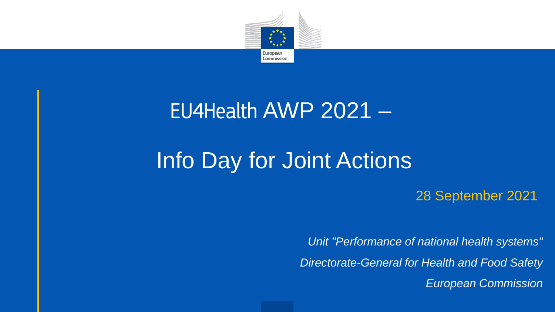

#### EU4Health AWP 2021 –

## Info Day for Joint Actions

28 September 2021

*Unit "Performance of national health systems" Directorate-General for Health and Food Safety European Commission*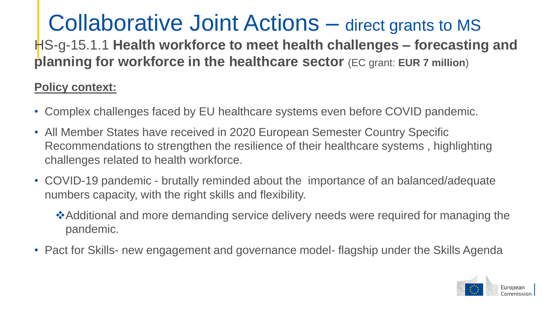# Collaborative Joint Actions – direct grants to MS

HS-g-15.1.1 **Health workforce to meet health challenges – forecasting and planning for workforce in the healthcare sector** (EC grant: **EUR 7 million**)

#### **Policy context:**

- Complex challenges faced by EU healthcare systems even before COVID pandemic.
- All Member States have received in 2020 European Semester Country Specific Recommendations to strengthen the resilience of their healthcare systems , highlighting challenges related to health workforce.
- COVID-19 pandemic brutally reminded about the importance of an balanced/adequate numbers capacity, with the right skills and flexibility.
	- Additional and more demanding service delivery needs were required for managing the pandemic.
- Pact for Skills- new engagement and governance model- flagship under the Skills Agenda

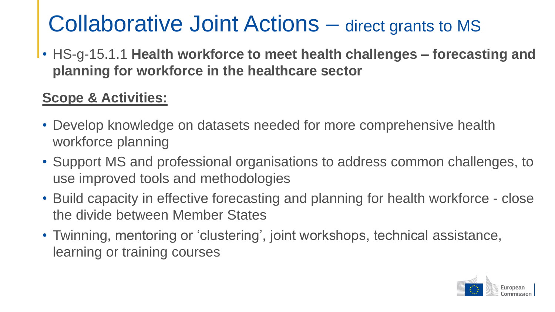### Collaborative Joint Actions – direct grants to MS

• HS-g-15.1.1 **Health workforce to meet health challenges – forecasting and planning for workforce in the healthcare sector**

#### **Scope & Activities:**

- Develop knowledge on datasets needed for more comprehensive health workforce planning
- Support MS and professional organisations to address common challenges, to use improved tools and methodologies
- Build capacity in effective forecasting and planning for health workforce close the divide between Member States
- Twinning, mentoring or 'clustering', joint workshops, technical assistance, learning or training courses